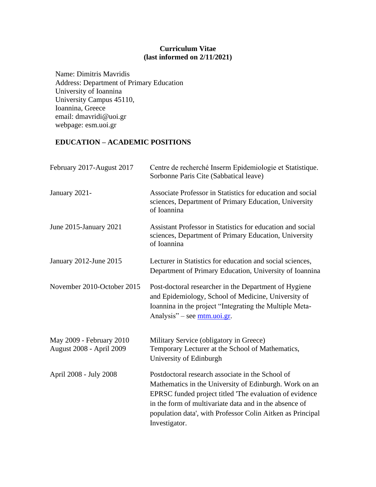#### **Curriculum Vitae (last informed on 2/11/2021)**

Name: Dimitris Mavridis Address: Department of Primary Education University of Ioannina University Campus 45110, Ioannina, Greece email: dmavridi@uoi.gr webpage: esm.uoi.gr

# **EDUCATION – ACADEMIC POSITIONS**

| February 2017-August 2017                            | Centre de recherché Inserm Epidemiologie et Statistique.<br>Sorbonne Paris Cite (Sabbatical leave)                                                                                                                                                                                                             |
|------------------------------------------------------|----------------------------------------------------------------------------------------------------------------------------------------------------------------------------------------------------------------------------------------------------------------------------------------------------------------|
| January 2021-                                        | Associate Professor in Statistics for education and social<br>sciences, Department of Primary Education, University<br>of Ioannina                                                                                                                                                                             |
| June 2015-January 2021                               | Assistant Professor in Statistics for education and social<br>sciences, Department of Primary Education, University<br>of Ioannina                                                                                                                                                                             |
| January 2012-June 2015                               | Lecturer in Statistics for education and social sciences,<br>Department of Primary Education, University of Ioannina                                                                                                                                                                                           |
| November 2010-October 2015                           | Post-doctoral researcher in the Department of Hygiene<br>and Epidemiology, School of Medicine, University of<br>Ioannina in the project "Integrating the Multiple Meta-<br>Analysis" – see mtm.uoi.gr.                                                                                                         |
| May 2009 - February 2010<br>August 2008 - April 2009 | Military Service (obligatory in Greece)<br>Temporary Lecturer at the School of Mathematics,<br>University of Edinburgh                                                                                                                                                                                         |
| April 2008 - July 2008                               | Postdoctoral research associate in the School of<br>Mathematics in the University of Edinburgh. Work on an<br>EPRSC funded project titled 'The evaluation of evidence<br>in the form of multivariate data and in the absence of<br>population data', with Professor Colin Aitken as Principal<br>Investigator. |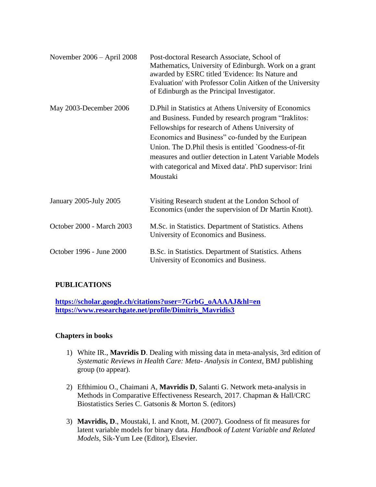| November $2006 - April 2008$ | Post-doctoral Research Associate, School of<br>Mathematics, University of Edinburgh. Work on a grant<br>awarded by ESRC titled 'Evidence: Its Nature and<br>Evaluation' with Professor Colin Aitken of the University<br>of Edinburgh as the Principal Investigator.                                                                                                                                                |
|------------------------------|---------------------------------------------------------------------------------------------------------------------------------------------------------------------------------------------------------------------------------------------------------------------------------------------------------------------------------------------------------------------------------------------------------------------|
| May 2003-December 2006       | D.Phil in Statistics at Athens University of Economics<br>and Business. Funded by research program "Iraklitos:<br>Fellowships for research of Athens University of<br>Economics and Business" co-funded by the Euripean<br>Union. The D.Phil thesis is entitled `Goodness-of-fit<br>measures and outlier detection in Latent Variable Models<br>with categorical and Mixed data'. PhD supervisor: Irini<br>Moustaki |
| January 2005-July 2005       | Visiting Research student at the London School of<br>Economics (under the supervision of Dr Martin Knott).                                                                                                                                                                                                                                                                                                          |
| October 2000 - March 2003    | M.Sc. in Statistics. Department of Statistics. Athens<br>University of Economics and Business.                                                                                                                                                                                                                                                                                                                      |
| October 1996 - June 2000     | B.Sc. in Statistics. Department of Statistics. Athens<br>University of Economics and Business.                                                                                                                                                                                                                                                                                                                      |

## **PUBLICATIONS**

**[https://scholar.google.ch/citations?user=7GrbG\\_oAAAAJ&hl=en](https://scholar.google.ch/citations?user=7GrbG_oAAAAJ&hl=en) [https://www.researchgate.net/profile/Dimitris\\_Mavridis3](https://www.researchgate.net/profile/Dimitris_Mavridis3)**

## **Chapters in books**

- 1) White IR., **Mavridis D**. Dealing with missing data in meta-analysis, 3rd edition of *Systematic Reviews in Health Care: Meta- Analysis in Context*, BMJ publishing group (to appear).
- 2) Efthimiou O., Chaimani A, **Mavridis D**, Salanti G. Network meta-analysis in Methods in Comparative Effectiveness Research, 2017. Chapman & Hall/CRC Biostatistics Series C. Gatsonis & Morton S. (editors)
- 3) **Mavridis, D**., Moustaki, I. and Knott, M. (2007). Goodness of fit measures for latent variable models for binary data. *Handbook of Latent Variable and Related Models*, Sik-Yum Lee (Editor), Elsevier.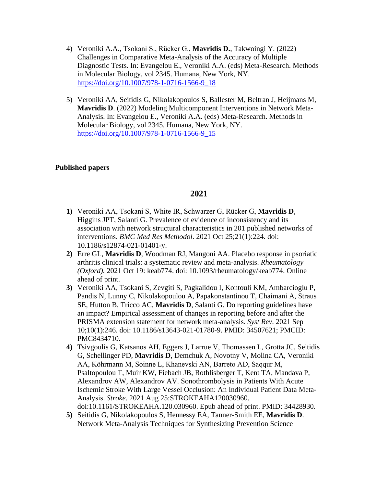- 4) Veroniki A.A., Tsokani S., Rücker G., **Mavridis D.**, Takwoingi Y. (2022) Challenges in Comparative Meta-Analysis of the Accuracy of Multiple Diagnostic Tests. In: Evangelou E., Veroniki A.A. (eds) Meta-Research. Methods in Molecular Biology, vol 2345. Humana, New York, NY. [https://doi.org/10.1007/978-1-0716-1566-9\\_18](https://doi.org/10.1007/978-1-0716-1566-9_18)
- 5) Veroniki AA, Seitidis G, Nikolakopoulos S, Ballester M, Beltran J, Heijmans M, **Mavridis D**. (2022) Modeling Multicomponent Interventions in Network Meta-Analysis. In: Evangelou E., Veroniki A.A. (eds) Meta-Research. Methods in Molecular Biology, vol 2345. Humana, New York, NY. [https://doi.org/10.1007/978-1-0716-1566-9\\_15](https://doi.org/10.1007/978-1-0716-1566-9_15)

## **Published papers**

- **1)** Veroniki AA, Tsokani S, White IR, Schwarzer G, Rücker G, **Mavridis D**, Higgins JPT, Salanti G. Prevalence of evidence of inconsistency and its association with network structural characteristics in 201 published networks of interventions. *BMC Med Res Methodol*. 2021 Oct 25;21(1):224. doi: 10.1186/s12874-021-01401-y.
- **2)** Erre GL, **Mavridis D**, Woodman RJ, Mangoni AA. Placebo response in psoriatic arthritis clinical trials: a systematic review and meta-analysis. *Rheumatology (Oxford).* 2021 Oct 19: keab774. doi: 10.1093/rheumatology/keab774. Online ahead of print.
- **3)** Veroniki AA, Tsokani S, Zevgiti S, Pagkalidou I, Kontouli KM, Ambarcioglu P, Pandis N, Lunny C, Nikolakopoulou A, Papakonstantinou T, Chaimani A, Straus SE, Hutton B, Tricco AC, **Mavridis D**, Salanti G. Do reporting guidelines have an impact? Empirical assessment of changes in reporting before and after the PRISMA extension statement for network meta-analysis. *Syst Rev*. 2021 Sep 10;10(1):246. doi: 10.1186/s13643-021-01780-9. PMID: 34507621; PMCID: PMC8434710.
- **4)** Tsivgoulis G, Katsanos AH, Eggers J, Larrue V, Thomassen L, Grotta JC, Seitidis G, Schellinger PD, **Mavridis D**, Demchuk A, Novotny V, Molina CA, Veroniki AA, Köhrmann M, Soinne L, Khanevski AN, Barreto AD, Saqqur M, Psaltopoulou T, Muir KW, Fiebach JB, Rothlisberger T, Kent TA, Mandava P, Alexandrov AW, Alexandrov AV. Sonothrombolysis in Patients With Acute Ischemic Stroke With Large Vessel Occlusion: An Individual Patient Data Meta-Analysis. *Stroke*. 2021 Aug 25:STROKEAHA120030960. doi:10.1161/STROKEAHA.120.030960. Epub ahead of print. PMID: 34428930.
- **5)** Seitidis G, Nikolakopoulos S, Hennessy EA, Tanner-Smith EE, **Mavridis D**. Network Meta-Analysis Techniques for Synthesizing Prevention Science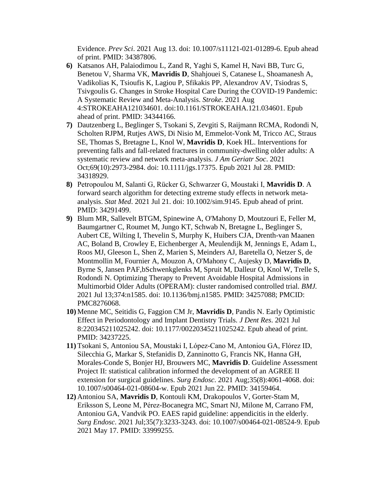Evidence. *Prev Sci*. 2021 Aug 13. doi: 10.1007/s11121-021-01289-6. Epub ahead of print. PMID: 34387806.

- **6)** Katsanos AH, Palaiodimou L, Zand R, Yaghi S, Kamel H, Navi BB, Turc G, Benetou V, Sharma VK, **Mavridis D**, Shahjouei S, Catanese L, Shoamanesh A, Vadikolias K, Tsioufis K, Lagiou P, Sfikakis PP, Alexandrov AV, Tsiodras S, Tsivgoulis G. Changes in Stroke Hospital Care During the COVID-19 Pandemic: A Systematic Review and Meta-Analysis. *Stroke*. 2021 Aug 4:STROKEAHA121034601. doi:10.1161/STROKEAHA.121.034601. Epub ahead of print. PMID: 34344166.
- **7)** Dautzenberg L, Beglinger S, Tsokani S, Zevgiti S, Raijmann RCMA, Rodondi N, Scholten RJPM, Rutjes AWS, Di Nisio M, Emmelot-Vonk M, Tricco AC, Straus SE, Thomas S, Bretagne L, Knol W, **Mavridis D**, Koek HL. Interventions for preventing falls and fall-related fractures in community-dwelling older adults: A systematic review and network meta-analysis. *J Am Geriatr Soc*. 2021 Oct;69(10):2973-2984. doi: 10.1111/jgs.17375. Epub 2021 Jul 28. PMID: 34318929.
- **8)** Petropoulou M, Salanti G, Rücker G, Schwarzer G, Moustaki I, **Mavridis D**. A forward search algorithm for detecting extreme study effects in network metaanalysis. *Stat Med*. 2021 Jul 21. doi: 10.1002/sim.9145. Epub ahead of print. PMID: 34291499.
- **9)** Blum MR, Sallevelt BTGM, Spinewine A, O'Mahony D, Moutzouri E, Feller M, Baumgartner C, Roumet M, Jungo KT, Schwab N, Bretagne L, Beglinger S, Aubert CE, Wilting I, Thevelin S, Murphy K, Huibers CJA, Drenth-van Maanen AC, Boland B, Crowley E, Eichenberger A, Meulendijk M, Jennings E, Adam L, Roos MJ, Gleeson L, Shen Z, Marien S, Meinders AJ, Baretella O, Netzer S, de Montmollin M, Fournier A, Mouzon A, O'Mahony C, Aujesky D, **Mavridis D**, Byrne S, Jansen PAF,bSchwenkglenks M, Spruit M, Dalleur O, Knol W, Trelle S, Rodondi N. Optimizing Therapy to Prevent Avoidable Hospital Admissions in Multimorbid Older Adults (OPERAM): cluster randomised controlled trial. *BMJ.* 2021 Jul 13;374:n1585. doi: 10.1136/bmj.n1585. PMID: 34257088; PMCID: PMC8276068.
- **10)** Menne MC, Seitidis G, Faggion CM Jr, **Mavridis D**, Pandis N. Early Optimistic Effect in Periodontology and Implant Dentistry Trials. *J Dent Res*. 2021 Jul 8:220345211025242. doi: 10.1177/00220345211025242. Epub ahead of print. PMID: 34237225.
- **11)** Tsokani S, Antoniou SA, Moustaki I, López-Cano M, Antoniou GA, Flórez ID, Silecchia G, Markar S, Stefanidis D, Zanninotto G, Francis NK, Hanna GH, Morales-Conde S, Bonjer HJ, Brouwers MC, **Mavridis D**. Guideline Assessment Project II: statistical calibration informed the development of an AGREE II extension for surgical guidelines. *Surg Endosc*. 2021 Aug;35(8):4061-4068. doi: 10.1007/s00464-021-08604-w. Epub 2021 Jun 22. PMID: 34159464.
- **12)** Antoniou SA, **Mavridis D**, Kontouli KM, Drakopoulos V, Gorter-Stam M, Eriksson S, Leone M, Pérez-Bocanegra MC, Smart NJ, Milone M, Carrano FM, Antoniou GA, Vandvik PO. EAES rapid guideline: appendicitis in the elderly. *Surg Endosc*. 2021 Jul;35(7):3233-3243. doi: 10.1007/s00464-021-08524-9. Epub 2021 May 17. PMID: 33999255.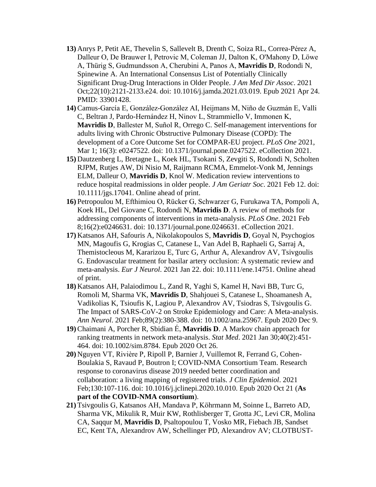- **13)** Anrys P, Petit AE, Thevelin S, Sallevelt B, Drenth C, Soiza RL, Correa-Pérez A, Dalleur O, De Brauwer I, Petrovic M, Coleman JJ, Dalton K, O'Mahony D, Löwe A, Thürig S, Gudmundsson A, Cherubini A, Panos A, **Mavridis D**, Rodondi N, Spinewine A. An International Consensus List of Potentially Clinically Significant Drug-Drug Interactions in Older People. *J Am Med Dir Assoc*. 2021 Oct;22(10):2121-2133.e24. doi: 10.1016/j.jamda.2021.03.019. Epub 2021 Apr 24. PMID: 33901428.
- **14)** Camus-García E, González-González AI, Heijmans M, Niño de Guzmán E, Valli C, Beltran J, Pardo-Hernández H, Ninov L, Strammiello V, Immonen K, **Mavridis D**, Ballester M, Suñol R, Orrego C. Self-management interventions for adults living with Chronic Obstructive Pulmonary Disease (COPD): The development of a Core Outcome Set for COMPAR-EU project. *PLoS One* 2021, Mar 1; 16(3): e0247522. doi: 10.1371/journal.pone.0247522. eCollection 2021.
- **15)** Dautzenberg L, Bretagne L, Koek HL, Tsokani S, Zevgiti S, Rodondi N, Scholten RJPM, Rutjes AW, Di Nisio M, Raijmann RCMA, Emmelot-Vonk M, Jennings ELM, Dalleur O, **Mavridis D**, Knol W. Medication review interventions to reduce hospital readmissions in older people. *J Am Geriatr Soc*. 2021 Feb 12. doi: 10.1111/jgs.17041. Online ahead of print.
- **16)** Petropoulou M, Efthimiou O, Rücker G, Schwarzer G, Furukawa TA, Pompoli A, Koek HL, Del Giovane C, Rodondi N, **Mavridis D**. A review of methods for addressing components of interventions in meta-analysis. *PLoS One*. 2021 Feb 8;16(2):e0246631. doi: 10.1371/journal.pone.0246631. eCollection 2021.
- **17)** Katsanos AH, Safouris A, Nikolakopoulos S, **Mavridis D**, Goyal N, Psychogios MN, Magoufis G, Krogias C, Catanese L, Van Adel B, Raphaeli G, Sarraj A, Themistocleous M, Kararizou E, Turc G, Arthur A, Alexandrov AV, Tsivgoulis G. Endovascular treatment for basilar artery occlusion: A systematic review and meta-analysis. *Eur J Neurol*. 2021 Jan 22. doi: 10.1111/ene.14751. Online ahead of print.
- **18)** Katsanos AH, Palaiodimou L, Zand R, Yaghi S, Kamel H, Navi BB, Turc G, Romoli M, Sharma VK, **Mavridis D**, Shahjouei S, Catanese L, Shoamanesh A, Vadikolias K, Tsioufis K, Lagiou P, Alexandrov AV, Tsiodras S, Tsivgoulis G. The Impact of SARS-CoV-2 on Stroke Epidemiology and Care: A Meta-analysis. *Ann Neurol*. 2021 Feb;89(2):380-388. doi: 10.1002/ana.25967. Epub 2020 Dec 9.
- **19)** Chaimani A, Porcher R, Sbidian É, **Mavridis D**. A Markov chain approach for ranking treatments in network meta-analysis. *Stat Med*. 2021 Jan 30;40(2):451- 464. doi: 10.1002/sim.8784. Epub 2020 Oct 26.
- **20)** Nguyen VT, Rivière P, Ripoll P, Barnier J, Vuillemot R, Ferrand G, Cohen-Boulakia S, Ravaud P, Boutron I; COVID-NMA Consortium Team. Research response to coronavirus disease 2019 needed better coordination and collaboration: a living mapping of registered trials. *J Clin Epidemiol*. 2021 Feb;130:107-116. doi: 10.1016/j.jclinepi.2020.10.010. Epub 2020 Oct 21 (**As part of the COVID-NMA consortium**).
- **21)** Tsivgoulis G, Katsanos AH, Mandava P, Köhrmann M, Soinne L, Barreto AD, Sharma VK, Mikulik R, Muir KW, Rothlisberger T, Grotta JC, Levi CR, Molina CA, Saqqur M, **Mavridis D**, Psaltopoulou T, Vosko MR, Fiebach JB, Sandset EC, Kent TA, Alexandrov AW, Schellinger PD, Alexandrov AV; CLOTBUST-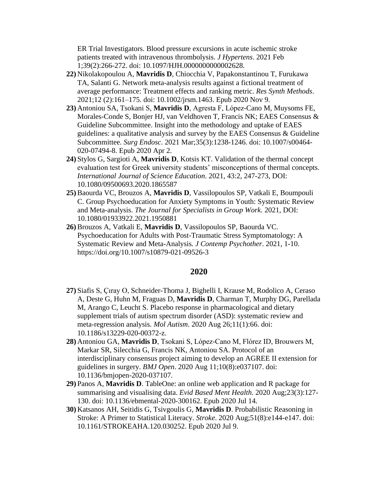ER Trial Investigators. Blood pressure excursions in acute ischemic stroke patients treated with intravenous thrombolysis. *J Hypertens*. 2021 Feb 1;39(2):266-272. doi: 10.1097/HJH.0000000000002628.

- **22)** Nikolakopoulou A, **Mavridis D**, Chiocchia V, Papakonstantinou T, Furukawa TA, Salanti G. Network meta-analysis results against a fictional treatment of average performance: Treatment effects and ranking metric. *Res Synth Methods*. 2021;12 (2):161–175. doi: 10.1002/jrsm.1463. Epub 2020 Nov 9.
- **23)** Antoniou SA, Tsokani S, **Mavridis D**, Agresta F, López-Cano M, Muysoms FE, Morales-Conde S, Bonjer HJ, van Veldhoven T, Francis NK; EAES Consensus & Guideline Subcommittee. Insight into the methodology and uptake of EAES guidelines: a qualitative analysis and survey by the EAES Consensus & Guideline Subcommittee. *Surg Endosc*. 2021 Mar;35(3):1238-1246. doi: 10.1007/s00464- 020-07494-8. Epub 2020 Apr 2.
- **24)** Stylos G, Sargioti A, **Mavridis D**, Kotsis KT. Validation of the thermal concept evaluation test for Greek university students' misconceptions of thermal concepts. *International Journal of Science Education*. 2021, 43:2, 247-273, DOI: 10.1080/09500693.2020.1865587
- **25)** Baourda VC, Brouzos A, **Mavridis D**, Vassilopoulos SP, Vatkali E, Boumpouli C. Group Psychoeducation for Anxiety Symptoms in Youth: Systematic Review and Meta-analysis. *The Journal for Specialists in Group Work*. 2021, DOI: 10.1080/01933922.2021.1950881
- **26)** Brouzos A, Vatkali E, **Mavridis D**, Vassilopoulos SP, Baourda VC. Psychoeducation for Adults with Post-Traumatic Stress Symptomatology: A Systematic Review and Meta-Analysis*. J Contemp Psychother*. 2021, 1-10. https://doi.org/10.1007/s10879-021-09526-3

- **27)** Siafis S, Çıray O, Schneider-Thoma J, Bighelli I, Krause M, Rodolico A, Ceraso A, Deste G, Huhn M, Fraguas D, **Mavridis D**, Charman T, Murphy DG, Parellada M, Arango C, Leucht S. Placebo response in pharmacological and dietary supplement trials of autism spectrum disorder (ASD): systematic review and meta-regression analysis. *Mol Autism*. 2020 Aug 26;11(1):66. doi: 10.1186/s13229-020-00372-z.
- **28)** Antoniou GA, **Mavridis D**, Tsokani S, López-Cano M, Flórez ID, Brouwers M, Markar SR, Silecchia G, Francis NK, Antoniou SA. Protocol of an interdisciplinary consensus project aiming to develop an AGREE II extension for guidelines in surgery. *BMJ Open*. 2020 Aug 11;10(8):e037107. doi: 10.1136/bmjopen-2020-037107.
- **29)** Panos A, **Mavridis D**. TableOne: an online web application and R package for summarising and visualising data. *Evid Based Ment Health*. 2020 Aug;23(3):127- 130. doi: 10.1136/ebmental-2020-300162. Epub 2020 Jul 14.
- **30)** Katsanos AH, Seitidis G, Tsivgoulis G, **Mavridis D**. Probabilistic Reasoning in Stroke: A Primer to Statistical Literacy. *Stroke*. 2020 Aug;51(8):e144-e147. doi: 10.1161/STROKEAHA.120.030252. Epub 2020 Jul 9.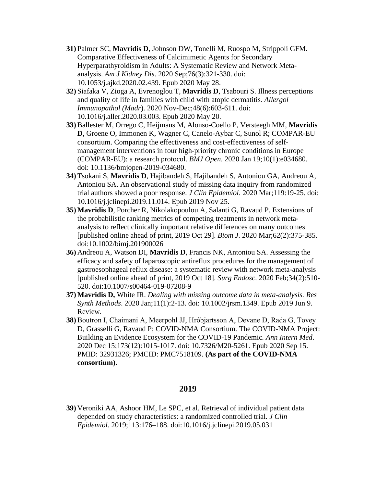- **31)** Palmer SC, **Mavridis D**, Johnson DW, Tonelli M, Ruospo M, Strippoli GFM. Comparative Effectiveness of Calcimimetic Agents for Secondary Hyperparathyroidism in Adults: A Systematic Review and Network Metaanalysis. *Am J Kidney Dis*. 2020 Sep;76(3):321-330. doi: 10.1053/j.ajkd.2020.02.439. Epub 2020 May 28.
- **32)** Siafaka V, Zioga A, Evrenoglou T, **Mavridis D**, Tsabouri S. Illness perceptions and quality of life in families with child with atopic dermatitis*. Allergol Immunopathol (Madr*). 2020 Nov-Dec;48(6):603-611. doi: 10.1016/j.aller.2020.03.003. Epub 2020 May 20.
- **33)** Ballester M, Orrego C, Heijmans M, Alonso-Coello P, Versteegh MM, **Mavridis D**, Groene O, Immonen K, Wagner C, Canelo-Aybar C, Sunol R; COMPAR-EU consortium. Comparing the effectiveness [and cost-effectiveness of self](https://www.ncbi.nlm.nih.gov/pubmed/31959612)[management interventions in four high-priority chronic conditions in Europe](https://www.ncbi.nlm.nih.gov/pubmed/31959612)  [\(COMPAR-EU\): a research](https://www.ncbi.nlm.nih.gov/pubmed/31959612) protocol. *BMJ Open*. 2020 Jan 19;10(1):e034680. doi: 10.1136/bmjopen-2019-034680.
- **34)** Tsokani S, **Mavridis D**, Hajibandeh S, Hajibandeh S, Antoniou GA, Andreou A, Antoniou SA. [An observational study](https://www.ncbi.nlm.nih.gov/pubmed/31778777) of missing data inquiry from randomized [trial authors showed a poor response.](https://www.ncbi.nlm.nih.gov/pubmed/31778777) *J Clin Epidemiol*. 2020 Mar;119:19-25. doi: 10.1016/j.jclinepi.2019.11.014. Epub 2019 Nov 25.
- **35) Mavridis D**, Porcher R, Nikolakopoulou A, Salanti G, Ravaud P. Extensions of the probabilistic ranking metrics of competing treatments in network metaanalysis to reflect clinically important relative differences on many outcomes [published online ahead of print, 2019 Oct 29]. *Biom J*. 2020 Mar;62(2):375-385. doi:10.1002/bimj.201900026
- **36)** Andreou A, Watson DI, **Mavridis D**, Francis NK, Antoniou SA. Assessing the efficacy and safety of laparoscopic antireflux procedures for the management of gastroesophageal reflux disease: a systematic review with network meta-analysis [published online ahead of print, 2019 Oct 18]. *Surg Endosc*. 2020 Feb;34(2):510- 520. doi:10.1007/s00464-019-07208-9
- **37) Mavridis D,** White IR. *[Dealing with missing](https://www.ncbi.nlm.nih.gov/pubmed/30991455) outcome data in meta-analysis. Res Synth Methods*. 2020 Jan;11(1):2-13. doi: 10.1002/jrsm.1349. Epub 2019 Jun 9. Review.
- **38)** Boutron I, Chaimani A, Meerpohl JJ, Hróbjartsson A, Devane D, Rada G, Tovey D, Grasselli G, Ravaud P; COVID-NMA Consortium. The COVID-NMA Project: Building an Evidence Ecosystem for the COVID-19 Pandemic*. Ann Intern Med*. 2020 Dec 15;173(12):1015-1017. doi: 10.7326/M20-5261. Epub 2020 Sep 15. PMID: 32931326; PMCID: PMC7518109. **(As part of the COVID-NMA consortium).**

**39)** Veroniki AA, Ashoor HM, Le SPC, et al. Retrieval of individual patient data depended on study characteristics: a randomized controlled trial. *J Clin Epidemiol.* 2019;113:176–188. doi:10.1016/j.jclinepi.2019.05.031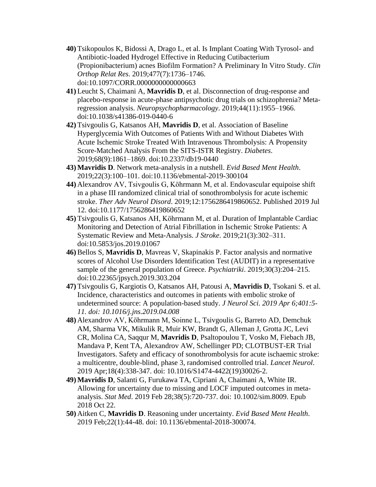- **40)** Tsikopoulos K, Bidossi A, Drago L, et al. Is Implant Coating With Tyrosol- and Antibiotic-loaded Hydrogel Effective in Reducing Cutibacterium (Propionibacterium) acnes Biofilm Formation? A Preliminary In Vitro Study. *Clin Orthop Relat Res*. 2019;477(7):1736–1746. doi:10.1097/CORR.0000000000000663
- **41)** Leucht S, Chaimani A, **Mavridis D**, et al. Disconnection of drug-response and placebo-response in acute-phase antipsychotic drug trials on schizophrenia? Metaregression analysis. *Neuropsychopharmacology*. 2019;44(11):1955–1966. doi:10.1038/s41386-019-0440-6
- **42)** Tsivgoulis G, Katsanos AH, **Mavridis D**, et al. Association of Baseline Hyperglycemia With Outcomes of Patients With and Without Diabetes With Acute Ischemic Stroke Treated With Intravenous Thrombolysis: A Propensity Score-Matched Analysis From the SITS-ISTR Registry. *Diabetes*. 2019;68(9):1861–1869. doi:10.2337/db19-0440
- **43) Mavridis D**. Network meta-analysis in a nutshell. *Evid Based Ment Health*. 2019;22(3):100–101. doi:10.1136/ebmental-2019-300104
- **44)** Alexandrov AV, Tsivgoulis G, Köhrmann M, et al. Endovascular equipoise shift in a phase III randomized clinical trial of sonothrombolysis for acute ischemic stroke. *Ther Adv Neurol Disord*. 2019;12:1756286419860652. Published 2019 Jul 12. doi:10.1177/1756286419860652
- **45)** Tsivgoulis G, Katsanos AH, Köhrmann M, et al. Duration of Implantable Cardiac Monitoring and Detection of Atrial Fibrillation in Ischemic Stroke Patients: A Systematic Review and Meta-Analysis. *J Stroke*. 2019;21(3):302–311. doi:10.5853/jos.2019.01067
- **46)** Bellos S, **Mavridis D**, Mavreas V, Skapinakis P. Factor analysis and normative scores of Alcohol Use Disorders Identification Test (AUDIT) in a representative sample of the general population of Greece. *Psychiatriki*. 2019;30(3):204–215. doi:10.22365/jpsych.2019.303.204
- **47)** Tsivgoulis G, Kargiotis O, Katsanos AH, Patousi A, **Mavridis D**, Tsokani S. et al. Incidence, [characteristics and outcomes in patients with embolic stroke of](https://www.ncbi.nlm.nih.gov/pubmed/30986703)  [undetermined source: A population-based study.](https://www.ncbi.nlm.nih.gov/pubmed/30986703) *J Neurol Sci. 2019 Apr 6;401:5- 11. doi: 10.1016/j.jns.2019.04.008*
- **48)** Alexandrov AV, Köhrmann M, Soinne L, Tsivgoulis G, Barreto AD, Demchuk AM, Sharma VK, Mikulik R, Muir KW, Brandt G, Alleman J, Grotta JC, Levi CR, Molina CA, Saqqur M, **Mavridis D**, Psaltopoulou T, Vosko M, Fiebach JB, Mandava P, Kent TA, Alexandrov AW, Schellinger PD; CLOTBUST-ER Trial Investigators. [Safety and efficacy of sonothrombolysis for acute ischaemic stroke:](https://www.ncbi.nlm.nih.gov/pubmed/30878103)  [a multicentre, double-blind, phase 3, randomised controlled trial.](https://www.ncbi.nlm.nih.gov/pubmed/30878103) *Lancet Neurol*. 2019 Apr;18(4):338-347. doi: 10.1016/S1474-4422(19)30026-2.
- **49) Mavridis D**, Salanti G, Furukawa TA, Cipriani A, Chaimani A, White IR. [Allowing for uncertainty due to missing and LOCF imputed outcomes in meta](https://www.ncbi.nlm.nih.gov/pubmed/30347460)[analysis.](https://www.ncbi.nlm.nih.gov/pubmed/30347460) *Stat Med*. 2019 Feb 28;38(5):720-737. doi: 10.1002/sim.8009. Epub 2018 Oct 22.
- **50)** Aitken C, **Mavridis D**. [Reasoning under uncertainty.](https://www.ncbi.nlm.nih.gov/pubmed/30679196) *Evid Based Ment Health*. 2019 Feb;22(1):44-48. doi: 10.1136/ebmental-2018-300074.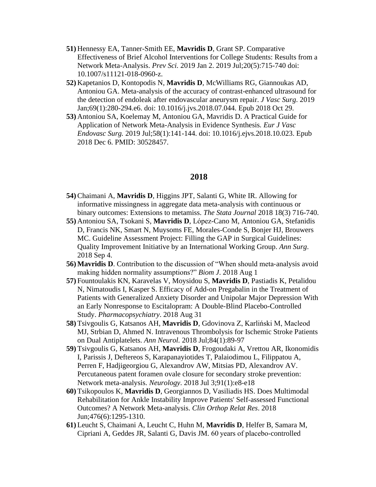- **51)** Hennessy EA, Tanner-Smith EE, **Mavridis D**, Grant SP. [Comparative](https://www.ncbi.nlm.nih.gov/pubmed/30604290)  [Effectiveness of Brief Alcohol Interventions for College Students: Results from a](https://www.ncbi.nlm.nih.gov/pubmed/30604290)  [Network Meta-Analysis.](https://www.ncbi.nlm.nih.gov/pubmed/30604290) *Prev Sci.* 2019 Jan 2. 2019 Jul;20(5):715-740 doi: 10.1007/s11121-018-0960-z.
- **52)** Kapetanios D, Kontopodis N, **Mavridis D**, McWilliams RG, Giannoukas AD, Antoniou GA. Meta-analysis of [the accuracy of contrast-enhanced ultrasound for](https://www.ncbi.nlm.nih.gov/pubmed/30385149)  [the detection of endoleak after endovascular aneurysm repair.](https://www.ncbi.nlm.nih.gov/pubmed/30385149) *J Vasc Surg*. 2019 Jan;69(1):280-294.e6. doi: 10.1016/j.jvs.2018.07.044. Epub 2018 Oct 29.
- **53)** Antoniou SA, Koelemay M, Antoniou GA, Mavridis D. A Practical Guide for Application of Network Meta-Analysis in Evidence Synthesis*. Eur J Vasc Endovasc Surg.* 2019 Jul;58(1):141-144. doi: 10.1016/j.ejvs.2018.10.023. Epub 2018 Dec 6. PMID: 30528457.

- **54)** Chaimani A, **Mavridis D**, Higgins JPT, Salanti G, White IR. Allowing for informative missingness in aggregate data meta-analysis with continuous or binary outcomes: Extensions to metamiss. *The Stata Journal* 2018 18(3) 716-740.
- **55)** Antoniou SA, Tsokani S, **Mavridis D**, López-Cano M, Antoniou GA, Stefanidis D, Francis NK, Smart N, Muysoms FE, Morales-Conde S, Bonjer HJ, Brouwers MC. Guideline Assessment Project: Filling the GAP in Surgical Guidelines: Quality Improvement Initiative by an International Working Group. *Ann Surg*. 2018 Sep 4.
- **56)** Mavridis D. Contribution to the discussion of "When should meta-analysis avoid making hidden normality assumptions?" *Biom J*. 2018 Aug 1
- **57)** Fountoulakis KN, Karavelas V, Moysidou S, **Mavridis D**, Pastiadis K, Petalidou N, Nimatoudis I, Kasper S. Efficacy of Add-on Pregabalin in the Treatment of Patients with Generalized Anxiety Disorder and Unipolar Major Depression With an Early Nonresponse to Escitalopram: A Double-Blind Placebo-Controlled Study. *Pharmacopsychiatry*. 2018 Aug 31
- **58)** Tsivgoulis G, Katsanos AH, **Mavridis D**, Gdovinova Z, Karliński M, Macleod MJ, Strbian D, Ahmed N. Intravenous Thrombolysis for Ischemic Stroke Patients on Dual Antiplatelets. *Ann Neurol.* 2018 Jul;84(1):89-97
- **59)** Tsivgoulis G, Katsanos AH, **Mavridis D**, Frogoudaki A, Vrettou AR, Ikonomidis I, Parissis J, Deftereos S, Karapanayiotides T, Palaiodimou L, Filippatou A, Perren F, Hadjigeorgiou G, Alexandrov AW, Mitsias PD, Alexandrov AV. Percutaneous patent foramen ovale closure for secondary stroke prevention: Network meta-analysis. *Neurology*. 2018 Jul 3;91(1):e8-e18
- **60)** Tsikopoulos K, **Mavridis D**, Georgiannos D, Vasiliadis HS. Does Multimodal Rehabilitation for Ankle Instability Improve Patients' Self-assessed Functional Outcomes? A Network Meta-analysis. *Clin Orthop Relat Res*. 2018 Jun;476(6):1295-1310.
- **61)** Leucht S, Chaimani A, Leucht C, Huhn M, **Mavridis D**, Helfer B, Samara M, Cipriani A, Geddes JR, Salanti G, Davis JM. 60 years of placebo-controlled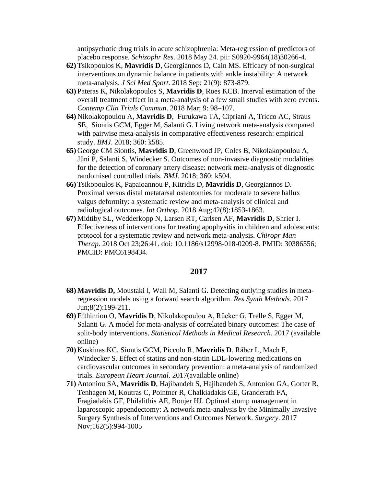antipsychotic drug trials in acute schizophrenia: Meta-regression of predictors of placebo response. *Schizophr Res.* 2018 May 24. pii: S0920-9964(18)30266-4.

- **62)** Tsikopoulos K, **Mavridis D**, Georgiannos D, Cain MS. Efficacy of non-surgical interventions on dynamic balance in patients with ankle instability: A network meta-analysis. *J Sci Med Sport*. 2018 Sep; 21(9): 873-879.
- **63)** Pateras K, Nikolakopoulos S, **Mavridis D**, Roes KCB. Interval estimation of the overall treatment effect in a meta-analysis of a few small studies with zero events. *Contemp Clin Trials Commun*. 2018 Mar; 9: 98–107.
- **64)** [Nikolakopoulou](https://www.ncbi.nlm.nih.gov/pubmed/?term=Nikolakopoulou%20A%5BAuthor%5D&cauthor=true&cauthor_uid=29490922) A, **[Mavridis](https://www.ncbi.nlm.nih.gov/pubmed/?term=Mavridis%20D%5BAuthor%5D&cauthor=true&cauthor_uid=29490922) D**, [Furukawa](https://www.ncbi.nlm.nih.gov/pubmed/?term=Furukawa%20TA%5BAuthor%5D&cauthor=true&cauthor_uid=29490922) TA, [Cipriani](https://www.ncbi.nlm.nih.gov/pubmed/?term=Cipriani%20A%5BAuthor%5D&cauthor=true&cauthor_uid=29490922) A, [Tricco](https://www.ncbi.nlm.nih.gov/pubmed/?term=Tricco%20AC%5BAuthor%5D&cauthor=true&cauthor_uid=29490922) AC, [Straus](https://www.ncbi.nlm.nih.gov/pubmed/?term=Straus%20SE%5BAuthor%5D&cauthor=true&cauthor_uid=29490922) SE, [Siontis](https://www.ncbi.nlm.nih.gov/pubmed/?term=Siontis%20GC%5BAuthor%5D&cauthor=true&cauthor_uid=29490922) GCM, [Egger](https://www.ncbi.nlm.nih.gov/pubmed/?term=Egger%20M%5BAuthor%5D&cauthor=true&cauthor_uid=29490922) M, [Salanti](https://www.ncbi.nlm.nih.gov/pubmed/?term=Salanti%20G%5BAuthor%5D&cauthor=true&cauthor_uid=29490922) G. Living network meta-analysis compared with pairwise meta-analysis in comparative effectiveness research: empirical study. *BMJ*. 2018; 360: k585.
- **65)** George CM Siontis, **Mavridis D**, Greenwood JP, Coles B, Nikolakopoulou A, Jüni P, Salanti S, Windecker S. Outcomes of non-invasive diagnostic modalities for the detection of coronary artery disease: network meta-analysis of diagnostic randomised controlled trials. *[BMJ](https://www.ncbi.nlm.nih.gov/pmc/articles/PMC5820645/)*. 2018; 360: k504.
- **66)** Tsikopoulos K, Papaioannou P, Kitridis D, **Mavridis D**, Georgiannos D. Proximal versus distal metatarsal osteotomies for moderate to severe hallux valgus deformity: a systematic review and meta-analysis of clinical and radiological outcomes. *Int Orthop*. 2018 Aug;42(8):1853-1863.
- **67)** Midtiby SL, Wedderkopp N, Larsen RT, Carlsen AF, **Mavridis D**, Shrier I. Effectiveness of interventions for treating apophysitis in children and adolescents: protocol for a systematic review and network meta-analysis. *Chiropr Man Therap*. 2018 Oct 23;26:41. doi: 10.1186/s12998-018-0209-8. PMID: 30386556; PMCID: PMC6198434.

- **68) Mavridis D,** Moustaki I, Wall M, Salanti G. Detecting outlying studies in metaregression models using a forward search algorithm. *Res Synth Methods*. 2017 Jun;8(2):199-211.
- **69)** Efthimiou O, **Mavridis D**, Nikolakopoulou A, Rücker G, Trelle S, Egger M, Salanti G. A model for meta-analysis of correlated binary outcomes: The case of split-body interventions. *Statistical Methods in Medical Research*. 2017 (available online)
- **70)** Koskinas KC, Siontis GCM, Piccolo R, **Mavridis D**, Räber L, Mach F, Windecker S. Effect of statins and non-statin LDL-lowering medications on cardiovascular outcomes in secondary prevention: a meta-analysis of randomized trials. *European Heart Journal*. 2017(available online)
- **71)** Antoniou SA, **Mavridis D**, Hajibandeh S, Hajibandeh S, Antoniou GA, Gorter R, Tenhagen M, Koutras C, Pointner R, Chalkiadakis GE, Granderath FA, Fragiadakis GF, Philalithis AE, Bonjer HJ. Optimal stump management in laparoscopic appendectomy: A network meta-analysis by the Minimally Invasive Surgery Synthesis of Interventions and Outcomes Network. *Surgery*. 2017 Nov;162(5):994-1005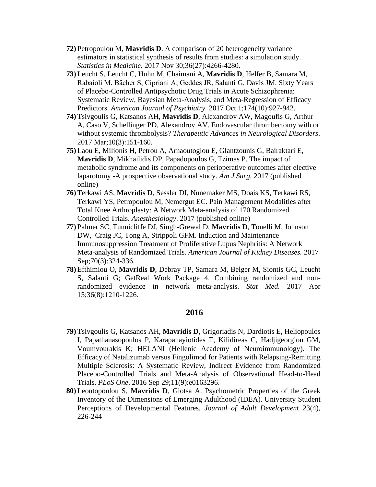- **72)** Petropoulou M, **Mavridis D**. A comparison of 20 heterogeneity variance estimators in statistical synthesis of results from studies: a simulation study. *Statistics in Medicine*. 2017 Nov 30;36(27):4266-4280.
- **73)** Leucht S, Leucht C, Huhn M, Chaimani A, **Mavridis D**, Helfer B, Samara M, Rabaioli M, Bächer S, Cipriani A, Geddes JR, Salanti G, Davis JM. Sixty Years of Placebo-Controlled Antipsychotic Drug Trials in Acute Schizophrenia: Systematic Review, Bayesian Meta-Analysis, and Meta-Regression of Efficacy Predictors. *American Journal of Psychiatry.* 2017 Oct 1;174(10):927-942.
- **74)** Tsivgoulis G, Katsanos AH, **Mavridis D**, Alexandrov AW, Magoufis G, Arthur A, Caso V, Schellinger PD, Alexandrov AV. Endovascular thrombectomy with or without systemic thrombolysis? *Therapeutic Advances in Neurological Disorders*. 2017 Mar;10(3):151-160.
- **75)** Laou E, Milionis H, Petrou A, Arnaoutoglou E, Glantzounis G, Bairaktari E, **Mavridis D**, Mikhailidis DP, Papadopoulos G, Tzimas P. The impact of metabolic syndrome and its components on perioperative outcomes after elective laparotomy -A prospective observational study. *Am J Surg.* 2017 (published online)
- **76)** Terkawi AS, **Mavridis D**, Sessler DI, Nunemaker MS, Doais KS, Terkawi RS, Terkawi YS, Petropoulou M, Nemergut EC. Pain Management Modalities after Total Knee Arthroplasty: A Network Meta-analysis of 170 Randomized Controlled Trials. *Anesthesiology*. 2017 (published online)
- **77)** Palmer SC, Tunnicliffe DJ, Singh-Grewal D, **Mavridis D**, Tonelli M, Johnson DW, Craig JC, Tong A, Strippoli GFM. Induction and Maintenance Immunosuppression Treatment of Proliferative Lupus Nephritis: A Network Meta-analysis of Randomized Trials. *American Journal of Kidney Diseases.* 2017 Sep: 70(3): 324-336.
- **78)** Efthimiou O, **Mavridis D**, Debray TP, Samara M, Belger M, Siontis GC, Leucht S, Salanti G; GetReal Work Package 4. Combining randomized and nonrandomized evidence in network meta-analysis. *Stat Med.* 2017 Apr 15;36(8):1210-1226.

- **79)** Tsivgoulis G, Katsanos AH, **Mavridis D**, Grigoriadis N, Dardiotis E, Heliopoulos I, Papathanasopoulos P, Karapanayiotides T, Kilidireas C, Hadjigeorgiou GM, Voumvourakis K; HELANI (Hellenic Academy of Neuroimmunology). The Efficacy of Natalizumab versus Fingolimod for Patients with Relapsing-Remitting Multiple Sclerosis: A Systematic Review, Indirect Evidence from Randomized Placebo-Controlled Trials and Meta-Analysis of Observational Head-to-Head Trials. *PLoS One*. 2016 Sep 29;11(9):e0163296.
- **80)** Leontopoulou S, **Mavridis D**, Giotsa A. Psychometric Properties of the Greek Inventory of the Dimensions of Emerging Adulthood (IDEA). University Student Perceptions of Developmental Features. *Journal of Adult Developmen*t 23(4), 226-244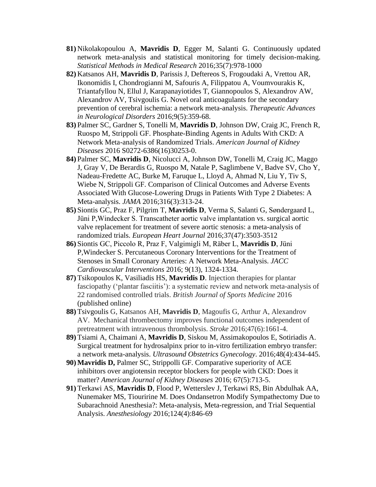- **81)** Nikolakopoulou A, **Mavridis D**, Egger M, Salanti G. Continuously updated network meta-analysis and statistical monitoring for timely decision-making. *Statistical Methods in Medical Research* 2016;35(7):978-1000
- **82)** Katsanos AH, **Mavridis D**, Parissis J, Deftereos S, Frogoudaki A, Vrettou AR, Ikonomidis I, Chondrogianni M, Safouris A, Filippatou A, Voumvourakis K, Triantafyllou N, Ellul J, Karapanayiotides T, Giannopoulos S, Alexandrov AW, Alexandrov AV, Tsivgoulis G. Novel oral anticoagulants for the secondary prevention of cerebral ischemia: a network meta-analysis. *Therapeutic Advances in Neurological Disorders* 2016;9(5):359-68.
- **83)** Palmer SC, Gardner S, Tonelli M, **Mavridis D**, Johnson DW, Craig JC, French R, Ruospo M, Strippoli GF. Phosphate-Binding Agents in Adults With CKD: A Network Meta-analysis of Randomized Trials. *American Journal of Kidney Diseases* 2016 S0272-6386(16)30253-0.
- **84)** Palmer SC, **Mavridis D**, Nicolucci A, Johnson DW, Tonelli M, Craig JC, Maggo J, Gray V, De Berardis G, Ruospo M, Natale P, Saglimbene V, Badve SV, Cho Y, Nadeau-Fredette AC, Burke M, Faruque L, Lloyd A, Ahmad N, Liu Y, Tiv S, Wiebe N, Strippoli GF. Comparison of Clinical Outcomes and Adverse Events Associated With Glucose-Lowering Drugs in Patients With Type 2 Diabetes: A Meta-analysis. *JAMA* 2016;316(3):313-24.
- **85)** Siontis GC, Praz F, Pilgrim T, **Mavridis D**, Verma S, Salanti G, Søndergaard L, Jüni P,Windecker S. Transcatheter aortic valve implantation vs. surgical aortic valve replacement for treatment of severe aortic stenosis: a meta-analysis of randomized trials. *European Heart Journal* 2016;37(47):3503-3512
- **86)** Siontis GC, Piccolo R, Praz F, Valgimigli M, Räber L, **Mavridis D**, Jüni P,Windecker S. Percutaneous Coronary Interventions for the Treatment of Stenoses in Small Coronary Arteries: A Network Meta-Analysis. *JACC Cardiovascular Interventions* 2016; 9(13), 1324-1334.
- **87)** Tsikopoulos K, Vasiliadis HS, **Mavridis D**. Injection therapies for plantar fasciopathy ('plantar fasciitis'): a systematic review and network meta-analysis of 22 randomised controlled trials. *British Journal of Sports Medicine* 2016 (published online)
- **88)** Tsivgoulis G, Katsanos AH, **Mavridis D**, Magoufis G, Arthur A, Alexandrov AV. Mechanical thrombectomy improves functional outcomes independent of pretreatment with intravenous thrombolysis. *Stroke* 2016;47(6):1661-4.
- **89)** Tsiami A, Chaimani A, **Mavridis D**, Siskou M, Assimakopoulos E, Sotiriadis A. Surgical treatment for hydrosalpinx prior to in-vitro fertilization embryo transfer: a network meta-analysis. *Ultrasound Obstetrics Gynecology*. 2016;48(4):434-445.
- **90) Mavridis D,** Palmer SC, Strippolli GF. Comparative superiority of ACE inhibitors over angiotensin receptor blockers for people with CKD: Does it matter? *American Journal of Kidney Diseases* 2016; 67(5):713-5.
- **91)** Terkawi AS, **Mavridis D**, Flood P, Wetterslev J, Terkawi RS, Bin Abdulhak AA, Nunemaker MS, Tiouririne M. Does Ondansetron Modify Sympathectomy Due to Subarachnoid Anesthesia?: Meta-analysis, Meta-regression, and Trial Sequential Analysis. *Anesthesiology* 2016;124(4):846-69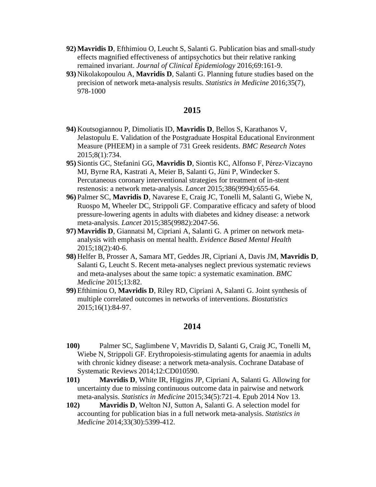- **92) Mavridis D**, Efthimiou O, Leucht S, Salanti G. Publication bias and small-study effects magnified effectiveness of antipsychotics but their relative ranking remained invariant. *Journal of Clinical Epidemiology* 2016;69:161-9.
- **93)** Nikolakopoulou A, **Mavridis D**, Salanti G. Planning future studies based on the precision of network meta-analysis results. *Statistics in Medicine* 2016;35(7), 978-1000

- **94)** Koutsogiannou P, Dimoliatis ID, **Mavridis D**, Bellos S, Karathanos V, Jelastopulu E. Validation of the Postgraduate Hospital Educational Environment Measure (PHEEM) in a sample of 731 Greek residents. *BMC Research Notes* 2015;8(1):734.
- **95)** Siontis GC, Stefanini GG, **Mavridis D**, Siontis KC, Alfonso F, Pérez-Vizcayno MJ, Byrne RA, Kastrati A, Meier B, Salanti G, Jüni P, Windecker S. Percutaneous coronary interventional strategies for treatment of in-stent restenosis: a network meta-analysis. *Lancet* 2015;386(9994):655-64.
- **96)** Palmer SC, **Mavridis D**, Navarese E, Craig JC, Tonelli M, Salanti G, Wiebe N, Ruospo M, Wheeler DC, Strippoli GF. Comparative efficacy and safety of blood pressure-lowering agents in adults with diabetes and kidney disease: a network meta-analysis. *Lancet* 2015;385(9982):2047-56.
- **97) Mavridis D**, Giannatsi M, Cipriani A, Salanti G. A primer on network metaanalysis with emphasis on mental health. *Evidence Based Mental Health* 2015;18(2):40-6.
- **98)** Helfer B, Prosser A, Samara MT, Geddes JR, Cipriani A, Davis JM, **Mavridis D**, Salanti G, Leucht S. Recent meta-analyses neglect previous systematic reviews and meta-analyses about the same topic: a systematic examination. *BMC Medicine* 2015;13:82.
- **99)** Efthimiou O, **Mavridis D**, Riley RD, Cipriani A, Salanti G. Joint synthesis of multiple correlated outcomes in networks of interventions. *Biostatistics* 2015;16(1):84-97.

- **100)** Palmer SC, Saglimbene V, Mavridis D, Salanti G, Craig JC, Tonelli M, Wiebe N, Strippoli GF. Erythropoiesis-stimulating agents for anaemia in adults with chronic kidney disease: a network meta-analysis. Cochrane Database of Systematic Reviews 2014;12:CD010590.
- **101) Mavridis D**, White IR, Higgins JP, Cipriani A, Salanti G. Allowing for uncertainty due to missing continuous outcome data in pairwise and network meta-analysis. *Statistics in Medicine* 2015;34(5):721-4. Epub 2014 Nov 13.
- **102) Mavridis D**, Welton NJ, Sutton A, Salanti G. A selection model for accounting for publication bias in a full network meta-analysis. *Statistics in Medicine* 2014;33(30):5399-412.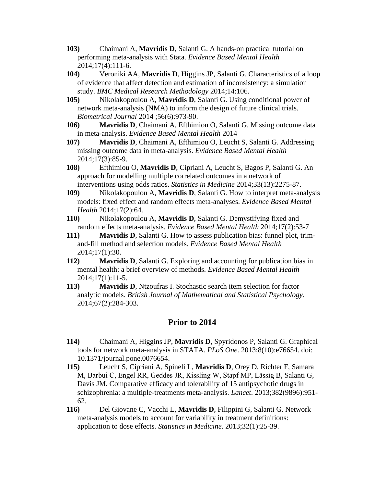- **103)** Chaimani A, **Mavridis D**, Salanti G. A hands-on practical tutorial on performing meta-analysis with Stata. *Evidence Based Mental Health* 2014;17(4):111-6.
- **104)** Veroniki AA, **Mavridis D**, Higgins JP, Salanti G. Characteristics of a loop of evidence that affect detection and estimation of inconsistency: a simulation study. *BMC Medical Research Methodology* 2014;14:106.
- **105)** Nikolakopoulou A, **Mavridis D**, Salanti G. Using conditional power of network meta-analysis (NMA) to inform the design of future clinical trials. *Biometrical Journal* 2014 ;56(6):973-90.
- **106) Mavridis D**, Chaimani A, Efthimiou O, Salanti G. Missing outcome data in meta-analysis. *Evidence Based Mental Health* 2014
- **107) Mavridis D**, Chaimani A, Efthimiou O, Leucht S, Salanti G. Addressing missing outcome data in meta-analysis. *Evidence Based Mental Health* 2014;17(3):85-9.
- **108)** Efthimiou O, **Mavridis D**, Cipriani A, Leucht S, Bagos P, Salanti G. An approach for modelling multiple correlated outcomes in a network of interventions using odds ratios. *Statistics in Medicine* 2014;33(13):2275-87.
- **109)** Nikolakopoulou A, **Mavridis D**, Salanti G. How to interpret meta-analysis models: fixed effect and random effects meta-analyses. *Evidence Based Mental Health* 2014;17(2):64.
- **110)** Nikolakopoulou A, **Mavridis D**, Salanti G. Demystifying fixed and random effects meta-analysis. *Evidence Based Mental Health* 2014;17(2):53-7
- **111) Mavridis D**, Salanti G. How to assess publication bias: funnel plot, trimand-fill method and selection models. *Evidence Based Mental Health* 2014;17(1):30.
- **112) Mavridis D**, Salanti G. Exploring and accounting for publication bias in mental health: a brief overview of methods. *Evidence Based Mental Health* 2014;17(1):11-5.
- **113) Mavridis D**, Ntzoufras I. Stochastic search item selection for factor analytic models. *British Journal of Mathematical and Statistical Psychology*. 2014;67(2):284-303.

# **Prior to 2014**

- **114)** Chaimani A, Higgins JP, **Mavridis D**, Spyridonos P, Salanti G. Graphical tools for network meta-analysis in STATA. *PLoS One*. 2013;8(10):e76654. doi: 10.1371/journal.pone.0076654.
- **115)** Leucht S, Cipriani A, Spineli L, **Mavridis D**, Orey D, Richter F, Samara M, Barbui C, Engel RR, Geddes JR, Kissling W, Stapf MP, Lässig B, Salanti G, Davis JM. Comparative efficacy and tolerability of 15 antipsychotic drugs in schizophrenia: a multiple-treatments meta-analysis. *Lancet*. 2013;382(9896):951- 62.
- **116)** Del Giovane C, Vacchi L, **Mavridis D**, Filippini G, Salanti G. Network meta-analysis models to account for variability in treatment definitions: application to dose effects. *Statistics in Medicine*. 2013;32(1):25-39.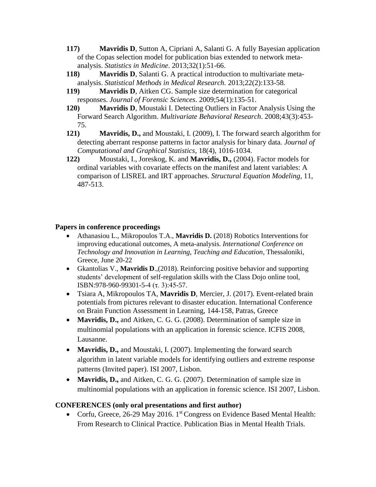- **117) Mavridis D**, Sutton A, Cipriani A, Salanti G. A fully Bayesian application of the Copas selection model for publication bias extended to network metaanalysis. *Statistics in Medicine*. 2013;32(1):51-66.
- **118) Mavridis D**, Salanti G. A practical introduction to multivariate metaanalysis. *Statistical Methods in Medical Research*. 2013;22(2):133-58.
- **119) Mavridis D**, Aitken CG. Sample size determination for categorical responses. *Journal of Forensic Sciences*. 2009;54(1):135-51.
- **120) Mavridis D**, Moustaki I. Detecting Outliers in Factor Analysis Using the Forward Search Algorithm. *Multivariate Behavioral Research*. 2008;43(3):453- 75.
- **121) Mavridis, D.,** and Moustaki, I. (2009), I. The forward search algorithm for detecting aberrant response patterns in factor analysis for binary data. *Journal of Computational and Graphical Statistics*, 18(4), 1016-1034.
- **122)** Moustaki, I., Joreskog, K. and **Mavridis, D.,** (2004). Factor models for ordinal variables with covariate effects on the manifest and latent variables: A comparison of LISREL and IRT approaches. *Structural Equation Modeling*, 11, 487-513.

#### **Papers in conference proceedings**

- Athanasiou L., Mikropoulos T.A., **Mavridis D.** (2018) Robotics Interventions for improving educational outcomes, A meta-analysis. *International Conference on Technology and Innovation in Learning, Teaching and Education*, Thessaloniki, Greece, June 20-22
- Gkantolias V., **Mavridis D**.,(2018). Reinforcing positive behavior and supporting students' development of self-regulation skills with the Class Dojo online tool, ISBN:978-960-99301-5-4 (τ. 3):45-57.
- Tsiara A, Mikropoulos TA, **Mavridis D**, Mercier, J. (2017). Event-related brain potentials from pictures relevant to disaster education. International Conference on Brain Function Assessment in Learning, 144-158, Patras, Greece
- **Mavridis, D.,** and Aitken, C. G. G. (2008). Determination of sample size in multinomial populations with an application in forensic science. ICFIS 2008, Lausanne.
- **Mavridis, D.,** and Moustaki, I. (2007). Implementing the forward search algorithm in latent variable models for identifying outliers and extreme response patterns (Invited paper). ISI 2007, Lisbon.
- **Mavridis, D.,** and Aitken, C. G. G. (2007). Determination of sample size in multinomial populations with an application in forensic science. ISI 2007, Lisbon.

#### **CONFERENCES (only oral presentations and first author)**

• Corfu, Greece, 26-29 May 2016. 1<sup>st</sup> Congress on Evidence Based Mental Health: From Research to Clinical Practice. Publication Bias in Mental Health Trials.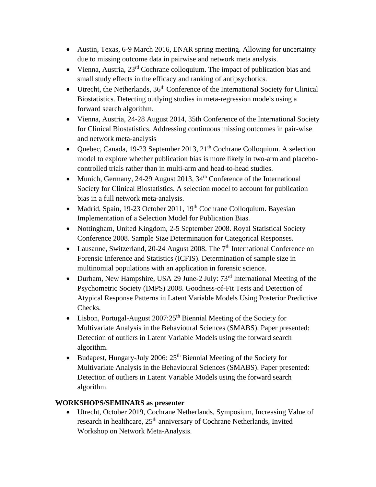- Austin, Texas, 6-9 March 2016, ENAR spring meeting. Allowing for uncertainty due to missing outcome data in pairwise and network meta analysis.
- Vienna, Austria,  $23<sup>rd</sup>$  Cochrane colloquium. The impact of publication bias and small study effects in the efficacy and ranking of antipsychotics.
- Utrecht, the Netherlands,  $36<sup>th</sup>$  Conference of the International Society for Clinical Biostatistics. Detecting outlying studies in meta-regression models using a forward search algorithm.
- Vienna, Austria, 24-28 August 2014, 35th Conference of the International Society for Clinical Biostatistics. Addressing continuous missing outcomes in pair-wise and network meta-analysis
- Quebec, Canada, 19-23 September 2013,  $21<sup>th</sup>$  Cochrane Colloquium. A selection [model to explore whether publication bias is more likely](http://colloquium.cochrane.org/abstracts/selection-model-explore-whether-publication-bias-more-likely-two-arm-and-placebo-controlle) in two-arm and placebo[controlled trials rather than in multi-arm and head-to-head studies.](http://colloquium.cochrane.org/abstracts/selection-model-explore-whether-publication-bias-more-likely-two-arm-and-placebo-controlle)
- Munich, Germany, 24-29 August 2013,  $34<sup>th</sup>$  Conference of the International Society for Clinical Biostatistics. A selection model to account for publication bias in a full network meta-analysis.
- Madrid, Spain, 19-23 October 2011, 19<sup>th</sup> Cochrane Colloquium. Bayesian Implementation of a Selection Model for Publication Bias.
- Nottingham, United Kingdom, 2-5 September 2008. Royal Statistical Society Conference 2008. Sample Size Determination for Categorical Responses.
- Lausanne, Switzerland, 20-24 August 2008. The 7<sup>th</sup> International Conference on Forensic Inference and Statistics (ICFIS). Determination of sample size in multinomial populations with an application in forensic science.
- Durham, New Hampshire, USA 29 June-2 July:  $73<sup>rd</sup>$  International Meeting of the Psychometric Society (IMPS) 2008. Goodness-of-Fit Tests and Detection of Atypical Response Patterns in Latent Variable Models Using Posterior Predictive Checks.
- Lisbon, Portugal-August  $2007:25<sup>th</sup>$  Biennial Meeting of the Society for Multivariate Analysis in the Behavioural Sciences (SMABS). Paper presented: Detection of outliers in Latent Variable Models using the forward search algorithm.
- Budapest, Hungary-July 2006:  $25<sup>th</sup>$  Biennial Meeting of the Society for Multivariate Analysis in the Behavioural Sciences (SMABS). Paper presented: Detection of outliers in Latent Variable Models using the forward search algorithm.

# **WORKSHOPS/SEMINARS as presenter**

• Utrecht, October 2019, Cochrane Netherlands, Symposium, Increasing Value of research in healthcare, 25<sup>th</sup> anniversary of Cochrane Netherlands, Invited Workshop on Network Meta-Analysis.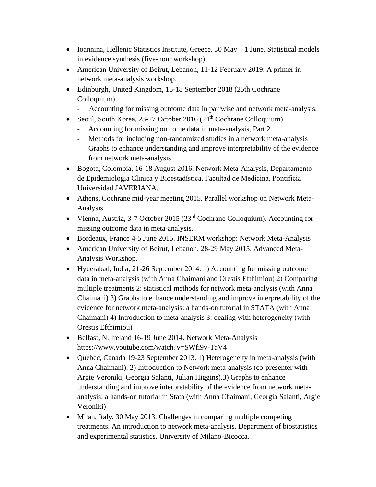- Ioannina, Hellenic Statistics Institute, Greece. 30 May 1 June. Statistical models in evidence synthesis (five-hour workshop).
- American University of Beirut, Lebanon, 11-12 February 2019. A primer in network meta-analysis workshop.
- Edinburgh, United Kingdom, 16-18 September 2018 (25th Cochrane Colloquium).
	- Accounting for missing outcome data in pairwise and network meta-analysis.
- Seoul, South Korea, 23-27 October 2016 (24<sup>th</sup> Cochrane Colloquium).
	- Accounting for missing outcome data in meta-analysis, Part 2.
	- Methods for including non-randomized studies in a network meta-analysis
	- Graphs to enhance understanding and improve interpretability of the evidence from network meta-analysis
- Bogota, Colombia, 16-18 August 2016. Network Meta-Analysis, Departamento de Epidemiologia Clinica y Bioestadística, Facultad de Medicina, Pontificia Universidad JAVERIANA.
- Athens, Cochrane mid-year meeting 2015. Parallel workshop on Network Meta-Analysis.
- Vienna, Austria, 3-7 October 2015 (23<sup>rd</sup> Cochrane Colloquium). Accounting for missing outcome data in meta-analysis.
- Bordeaux, France 4-5 June 2015. INSERM workshop: Network Meta-Analysis
- American University of Beirut, Lebanon, 28-29 May 2015. Advanced Meta-Analysis Workshop.
- Hyderabad, India, 21-26 September 2014. 1) Accounting for missing outcome data in meta-analysis (with Anna Chaimani and Orestis Efthimiou) 2) Comparing multiple treatments 2: statistical methods for network meta-analysis (with Anna Chaimani) 3) Graphs to enhance understanding and improve interpretability of the evidence for network meta-analysis: a hands-on tutorial in STATA (with Anna Chaimani) 4) Introduction to meta-analysis 3: dealing with heterogeneity (with Orestis Efthimiou)
- Belfast, N. Ireland 16-19 June 2014. Network Meta-Analysis https://www.youtube.com/watch?v=SWfi9v-TaV4
- Quebec, Canada 19-23 September 2013. 1) Heterogeneity in meta-analysis (with Anna Chaimani). 2) Introduction to Network meta-analysis (co-presenter with Argie Veroniki, Georgia Salanti, Julian Higgins).3) Graphs to enhance understanding and improve interpretability of the evidence from network metaanalysis: a hands-on tutorial in Stata (with Anna Chaimani, Georgia Salanti, Argie Veroniki)
- Milan, Italy, 30 May 2013. Challenges in comparing multiple competing treatments. An introduction to network meta-analysis. Department of biostatistics and experimental statistics. University of Milano-Bicocca.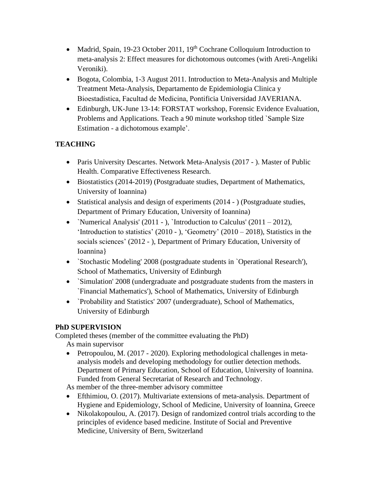- Madrid, Spain, 19-23 October 2011, 19<sup>th</sup> Cochrane Colloquium Introduction to meta-analysis 2: Effect measures for dichotomous outcomes (with Areti-Angeliki Veroniki).
- Bogota, Colombia, 1-3 August 2011. Introduction to Meta-Analysis and Multiple Treatment Meta-Analysis, Departamento de Epidemiologia Clinica y Bioestadística, Facultad de Medicina, Pontificia Universidad JAVERIANA.
- Edinburgh, UK-June 13-14: FORSTAT workshop, Forensic Evidence Evaluation, Problems and Applications. Teach a 90 minute workshop titled `Sample Size Estimation - a dichotomous example'.

# **TEACHING**

- Paris University Descartes. Network Meta-Analysis (2017 ). Master of Public Health. Comparative Effectiveness Research.
- Biostatistics (2014-2019) (Postgraduate studies, Department of Mathematics, University of Ioannina)
- Statistical analysis and design of experiments (2014 ) (Postgraduate studies, Department of Primary Education, University of Ioannina)
- `Numerical Analysis' (2011 ), `Introduction to Calculus' (2011 2012), 'Introduction to statistics' (2010 - ), 'Geometry' (2010 – 2018), Statistics in the socials sciences' (2012 - ), Department of Primary Education, University of Ioannina}
- Stochastic Modeling' 2008 (postgraduate students in `Operational Research'), School of Mathematics, University of Edinburgh
- Simulation' 2008 (undergraduate and postgraduate students from the masters in `Financial Mathematics'), School of Mathematics, University of Edinburgh
- `Probability and Statistics' 2007 (undergraduate), School of Mathematics, University of Edinburgh

# **PhD SUPERVISION**

Completed theses (member of the committee evaluating the PhD)

As main supervisor

• Petropoulou, M. (2017 - 2020). Exploring methodological challenges in metaanalysis models and developing methodology for outlier detection methods. Department of Primary Education, School of Education, University of Ioannina. Funded from General Secretariat of Research and Technology.

As member of the three-member advisory committee

- Efthimiou, O. (2017). Multivariate extensions of meta-analysis. Department of Hygiene and Epidemiology, School of Medicine, University of Ioannina, Greece
- Nikolakopoulou, A. (2017). Design of randomized control trials according to the principles of evidence based medicine. Institute of Social and Preventive Medicine, University of Bern, Switzerland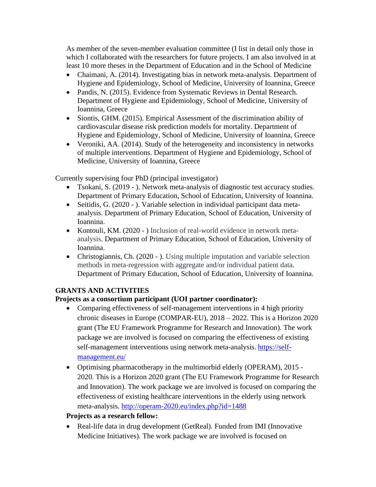As member of the seven-member evaluation committee (I list in detail only those in which I collaborated with the researchers for future projects. I am also involved in at least 10 more theses in the Department of Education and in the School of Medicine

- Chaimani, A. (2014). Investigating bias in network meta-analysis. Department of Hygiene and Epidemiology, School of Medicine, University of Ioannina, Greece
- Pandis, N. (2015). Evidence from Systematic Reviews in Dental Research. Department of Hygiene and Epidemiology, School of Medicine, University of Ioannina, Greece
- Siontis, GHM. (2015). Empirical Assessment of the discrimination ability of cardiovascular disease risk prediction models for mortality. Department of Hygiene and Epidemiology, School of Medicine, University of Ioannina, Greece
- Veroniki, AA. (2014). Study of the heterogeneity and inconsistency in networks of multiple interventions. Department of Hygiene and Epidemiology, School of Medicine, University of Ioannina, Greece

Currently supervising four PhD (principal investigator)

- Tsokani, S. (2019 ). Network meta-analysis of diagnostic test accuracy studies. Department of Primary Education, School of Education, University of Ioannina.
- Seitidis, G. (2020 ). Variable selection in individual participant data metaanalysis. Department of Primary Education, School of Education, University of Ioannina.
- Kontouli, KM. (2020 ) Inclusion of real-world evidence in network metaanalysis. Department of Primary Education, School of Education, University of Ioannina.
- Christogiannis, Ch. (2020 ). Using multiple imputation and variable selection methods in meta-regression with aggregate and/or individual patient data. Department of Primary Education, School of Education, University of Ioannina.

# **GRANTS AND ACTIVITIES**

## **Projects as a consortium participant (UOI partner coordinator):**

- Comparing effectiveness of self-management interventions in 4 high priority chronic diseases in Europe (COMPAR-EU), 2018 – 2022. This is a Horizon 2020 grant (The EU Framework Programme for Research and Innovation). The work package we are involved is focused on comparing the effectiveness of existing self-management interventions using network meta-analysis. [https://self](https://self-management.eu/)[management.eu/](https://self-management.eu/)
- Optimising pharmacotherapy in the multimorbid elderly (OPERAM), 2015 2020. This is a Horizon 2020 grant (The EU Framework Programme for Research and Innovation). The work package we are involved is focused on comparing the effectiveness of existing healthcare interventions in the elderly using network meta-analysis. <http://operam-2020.eu/index.php?id=1488>

## **Projects as a research fellow:**

• Real-life data in drug development (GetReal). Funded from IMI (Innovative Medicine Initiatives). The work package we are involved is focused on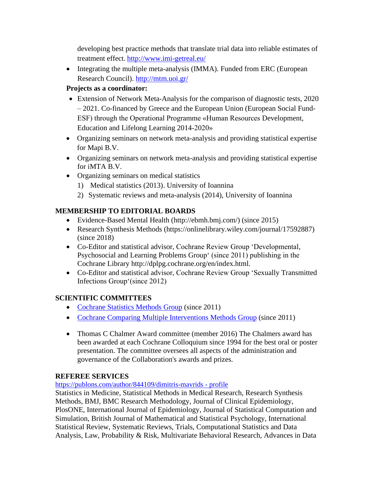developing best practice methods that translate trial data into reliable estimates of treatment effect. <http://www.imi-getreal.eu/>

• Integrating the multiple meta-analysis (IMMA). Funded from ERC (European Research Council).<http://mtm.uoi.gr/>

# **Projects as a coordinator:**

- Extension of Network Meta-Analysis for the comparison of diagnostic tests, 2020 – 2021. Co-financed by Greece and the European Union (European Social Fund-ESF) through the Operational Programme «Human Resources Development, Education and Lifelong Learning 2014-2020»
- Organizing seminars on network meta-analysis and providing statistical expertise for Mapi B.V.
- Organizing seminars on network meta-analysis and providing statistical expertise for iMTA B.V.
- Organizing seminars on medical statistics
	- 1) Medical statistics (2013). University of Ioannina
	- 2) Systematic reviews and meta-analysis (2014), University of Ioannina

# **MEMBERSHIP TO EDITORIAL BOARDS**

- Evidence-Based Mental Health (http://ebmh.bmj.com/) (since 2015)
- Research Synthesis Methods (https://onlinelibrary.wiley.com/journal/17592887) (since 2018)
- Co-Editor and statistical advisor, Cochrane Review Group 'Developmental, Psychosocial and Learning Problems Group' (since 2011) publishing in the Cochrane Library http://dplpg.cochrane.org/en/index.html.
- Co-Editor and statistical advisor, Cochrane Review Group 'Sexually Transmitted Infections Group'(since 2012)

# **SCIENTIFIC COMMITTEES**

- [Cochrane Statistics Methods Group](http://smg.cochrane.org/) (since 2011)
- [Cochrane Comparing Multiple Interventions Methods Group](http://cmimg.cochrane.org/) (since 2011)
- Thomas C Chalmer Award committee (member 2016) The Chalmers award has been awarded at each Cochrane Colloquium since 1994 for the best oral or poster presentation. The committee oversees all aspects of the administration and governance of the Collaboration's awards and prizes.

## **REFEREE SERVICES**

[https://publons.com/author/844109/dimitris-mavrids -](https://publons.com/author/844109/dimitris-mavrids%20-%20profile) profile

Statistics in Medicine, Statistical Methods in Medical Research, Research Synthesis Methods, BMJ, BMC Research Methodology, Journal of Clinical Epidemiology, PlosONE, International Journal of Epidemiology, Journal of Statistical Computation and Simulation, British Journal of Mathematical and Statistical Psychology, International Statistical Review, Systematic Reviews, Trials, Computational Statistics and Data Analysis, Law, Probability & Risk, Multivariate Behavioral Research, Advances in Data